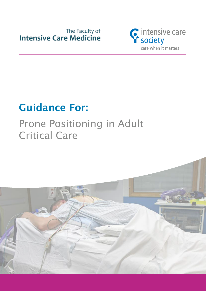

# Guidance For:

# Prone Positioning in Adult Critical Care

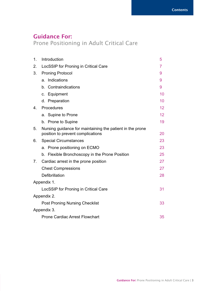## Guidance For:

Prone Positioning in Adult Critical Care

| 1.             | Introduction                                                                                   | 5               |
|----------------|------------------------------------------------------------------------------------------------|-----------------|
| 2.             | LocSSIP for Proning in Critical Care                                                           | $\overline{7}$  |
| 3.             | <b>Proning Protocol</b>                                                                        | 9               |
|                | Indications<br>a.                                                                              | 9               |
|                | b. Contraindications                                                                           | 9               |
|                | c. Equipment                                                                                   | 10              |
|                | d. Preparation                                                                                 | 10              |
| 4.             | Procedures                                                                                     | 12              |
|                | a. Supine to Prone                                                                             | 12 <sup>2</sup> |
|                | b. Prone to Supine                                                                             | 19              |
| 5.             | Nursing guidance for maintaining the patient in the prone<br>position to prevent complications | 20              |
| 6.             | <b>Special Circumstances</b>                                                                   | 23              |
|                | a. Prone positioning on ECMO                                                                   | 23              |
|                | b. Flexible Bronchoscopy in the Prone Position                                                 | 25              |
| 7 <sub>1</sub> | Cardiac arrest in the prone position                                                           | 27              |
|                | <b>Chest Compressions</b>                                                                      | 27              |
|                | Defibrillation                                                                                 | 28              |
|                | Appendix 1.                                                                                    |                 |
|                | LocSSIP for Proning in Critical Care                                                           | 31              |
|                | Appendix 2.                                                                                    |                 |
|                | <b>Post Proning Nursing Checklist</b>                                                          | 33              |
|                | Appendix 3.                                                                                    |                 |
|                | <b>Prone Cardiac Arrest Flowchart</b>                                                          | 35              |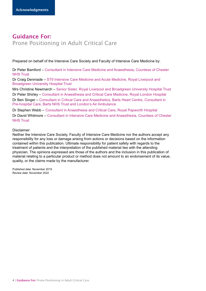## Guidance For: Prone Positioning in Adult Critical Care

Prepared on behalf of the Intensive Care Society and Faculty of Intensive Care Medicine by:

Dr Peter Bamford – Consultant in Intensive Care Medicine and Anaesthesia, Countess of Chester NHS Trust

Dr Craig Denmade – ST9 Intensive Care Medicine and Acute Medicine, Royal Liverpool and Broadgreen University Hospital Trust

Mrs Christine Newmarch – Senior Sister, Royal Liverpool and Broadgreen University Hospital Trust Dr Peter Shirley – Consultant in Anaesthesia and Critical Care Medicine, Royal London Hospital

Dr Ben Singer – Consultant in Critical Care and Anaesthetics, Barts Heart Centre, Consultant in Pre-hospital Care, Barts NHS Trust and London's Air Ambulance

Dr Stephen Webb – Consultant in Anaesthesia and Critical Care, Royal Papworth Hospital Dr David Whitmore – Consultant in Intensive Care Medicine and Anaesthesia, Countess of Chester NHS Trust

Disclaimer:

Neither the Intensive Care Society, Faculty of Intensive Care Medicine nor the authors accept any responsibility for any loss or damage arising from actions or decisions based on the information contained within this publication. Ultimate responsibility for patient safety with regards to the treatment of patients and the interpretation of the published material lies with the attending physician. The opinions expressed are those of the authors and the inclusion in this publication of material relating to a particular product or method does not amount to an endorsement of its value, quality, or the claims made by the manufacturer.

Published date: November 2019 Review date: November 2022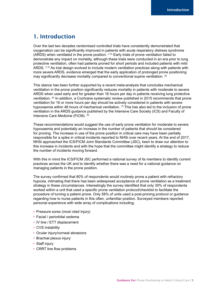### 1. Introduction

Over the last two decades randomised controlled trials have consistently demonstrated that oxygenation can be significantly improved in patients with acute respiratory distress syndrome (ARDS) when ventilated in the prone position. (1-5) Early trials of prone ventilation failed to demonstrate any impact on mortality, although these trials were conducted in an era prior to lung protective ventilation, often had patients proned for short periods and included patients with mild ARDS. (1,2) As trial design evolved to include modern ventilation practices along with patients with more severe ARDS, evidence emerged that the early application of prolonged prone positioning may significantly decrease mortality compared to conventional supine ventilation. (5)

This stance has been further supported by a recent meta-analysis that concludes mechanical ventilation in the prone position significantly reduces mortality in patients with moderate to severe ARDS when used early and for greater than 16 hours per day in patients receiving lung protective ventilation. (6) In addition, a Cochrane systematic review published in 2015 recommends that prone ventilation for 16 or more hours per day should be actively considered in patients with severe hypoxaemia within 48 hours of mechanical ventilation. (7) This has also led to the inclusion of prone ventilation in the ARDS guidance published by the Intensive Care Society (ICS) and Faculty of Intensive Care Medicine (FICM). (8)

These recommendations would suggest the use of early prone ventilation for moderate to severe hypoxaemia and potentially an increase in the number of patients that should be considered for proning. The increase in use of the prone position in critical care may have been partially responsible for a spike in critical incidents reported to NHSi over recent years. At the end of 2017, NHSi approached the ICS/FICM Joint Standards Committee (JSC), keen to draw our attention to this increase in incidents and with the hope that the committee might identify a strategy to reduce the number of incidents moving forward.

With this in mind the ICS/FICM JSC performed a national survey of its members to identify current practices across the UK and to identify whether there was a need for a national guidance on managing patients in the prone position.

The survey confirmed that 80% of respondents would routinely prone a patient with refractory hypoxia, intimating that there has been widespread acceptance of prone ventilation as a treatment strategy in these circumstances. Interestingly the survey identified that only 30% of respondents worked within a unit that used a specific prone ventilation protocol/checklist to facilitate the procedure of turning a patient prone. Only 58% of units used a post-proning protocol or guidance regarding how to nurse patients in this often, unfamiliar position. Surveyed members reported personal experience with wide array of complications including;

- Pressure sores (most cited injury)
- Facial / periorbital oedema
- IV line / ETT displacement
- CVS instability
- Ocular injury/corneal abrasions
- Brachial plexus injury
- Staff injury
- CRRT line flow problems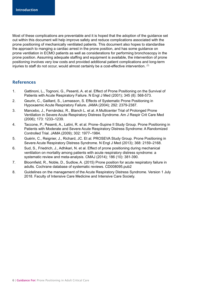Most of these complications are preventable and it is hoped that the adoption of the guidance set out within this document will help improve safety and reduce complications associated with the prone positioning of mechanically ventilated patients. This document also hopes to standardise the approach to manging a cardiac arrest in the prone position, and has some guidance on prone ventilation in ECMO patients as well as considerations for performing bronchoscopy in the prone position. Assuming adequate staffing and equipment is available, the intervention of prone positioning involves very low costs and provided additional patient complications and long-term injuries to staff do not occur, would almost certainly be a cost-effective intervention.  $(7)$ 

### References

- 1. Gattinoni, L., Tognoni, G., Pesenti, A. et al. Effect of Prone Positioning on the Survival of Patients with Acute Respiratory Failure. N Engl J Med (2001); 345 (8): 568-573.
- 2. Geurin, C., Gaillard, S., Lemasson, S. Effects of Systematic Prone Positioning in Hypoxaemic Acute Respiratory Failure. JAMA (2004); 292: 2379-2387.
- 3. Mancebo, J., Fernández, R., Blanch L. et al. A Multicenter Trial of Prolonged Prone Ventilation in Severe Acute Respiratory Distress Syndrome. Am J Respir Crit Care Med (2006); 173: 1233–1239.
- 4. Taccone, P., Pesenti, A., Latini, R. et al. Prone–Supine II Study Group. Prone Positioning in Patients with Moderate and Severe Acute Respiratory Distress Syndrome: A Randomized Controlled Trial. JAMA (2009); 302: 1977–1984.
- 5. Guérin, C., Reignier, J., Richard, JC. Et al. PROSEVA Study Group. Prone Positioning in Severe Acute Respiratory Distress Syndrome. N Engl J Med (2013); 368: 2159–2168.
- 6. Sud, S., Friedrich, J., Adhikari, N. et al. Effect of prone positioning during mechanical ventilation on mortality among patients with acute respiratory distress syndrome: a systematic review and meta-analysis. CMAJ (2014); 186 (10): 381-390.
- 7. Bloomfield, R., Noble, D., Sudlow, A. (2015) Prone position for acute respiratory failure in adults. Cochrane database of systematic reviews. CD008095.pub2
- 8. Guidelines on the management of the Acute Respiratory Distress Syndrome. Version 1 July 2018. Faculty of Intensive Care Medicine and Intensive Care Society.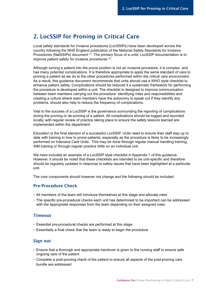## 2. LocSSIP for Proning in Critical Care

Local safety standards for invasive procedures (LocSSIPs) have been developed across the country following the NHS England publication of the National Safety Standards for Invasive Procedures (NatSSIPs) document (1). The primary focus of a units' LocSSIP documentation is to improve patient safety for invasive procedures (2).

Although turning a patient into the prone position is not an invasive procedure, it is complex and has many potential complications. It is therefore appropriate to apply the same standard of care to proning a patient as we do to the other procedures performed within the critical care environment. As a result, this guidance document recommends that units should use a WHO style checklist to enhance patient safety. Complications should be reduced if a systematic framework for performing the procedure is developed within a unit. The checklist is designed to improve communication between team members carrying out the procedure. Identifying roles and responsibilities and creating a culture where team members have the autonomy to speak out if they identify any problems, should also help to reduce the frequency of complications.

Vital to the success of a LocSSIP is the governance surrounding the reporting of complications during the proning or de-proning of a patient. All complications should be logged and recorded locally, with regular review of practice taking place to ensure the safety lessons learned are implemented within the department.

Education is the final element of a successful LocSSIP. Units need to ensure their staff stay up to date with training in how to prone patients, especially as the procedure is likely to be increasingly performed on Intensive Care Units. This may be done through regular manual handling training, SIM training or through regular practice drills on an individual unit.

We have included an example of a LocSSIP style checklist in Appendix 1 of this guidance. However, it should be noted that these checklists are intended to be unit-specific and therefore should be regularly updated in response to safety issues that have been highlighted at a particular unit.

The core components should however not change and the following should be included:

### Pre-Procedure Check

- All members of the team will introduce themselves at this stage and allocate roles
- The specific pre-procedural checks each unit has determined to be important can be addressed with the appropriate responses from the team depending on their assigned roles.

### **Timeout**

- Essential pre-procedural checks are performed at this stage
- Essentially a final check that the team is ready to begin the procedure

### Sign out

- Ensure that a thorough and appropriate handover is given to the nursing staff to ensure safe ongoing care of the patient
- Complete a post-proning check of the patient to ensure all aspects of the post-proning care bundle are addressed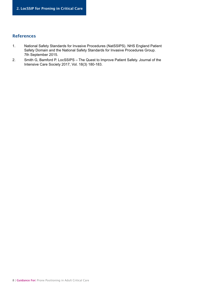### References

- 1. National Safety Standards for Invasive Procedures (NatSSIPS). NHS England Patient Safety Domain and the National Safety Standards for Invasive Procedures Group. 7th September 2015.
- 2. Smith G, Bamford P. LocSSIPS The Quest to Improve Patient Safety. Journal of the Intensive Care Society 2017, Vol. 18(3) 180-183.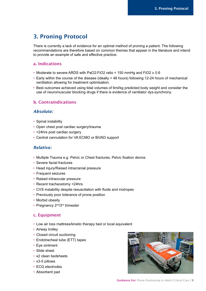# 3. Proning Protocol

There is currently a lack of evidence for an optimal method of proning a patient. The following recommendations are therefore based on common themes that appear in the literature and intend to provide an example of safe and effective practice.

### a. Indications

- Moderate to severe ARDS with PaO2:FiO2 ratio < 150 mmHg and FiO2 ≥ 0.6
- Early within the course of the disease (ideally < 48 hours) following 12-24 hours of mechanical ventilation allowing for treatment optimisation.
- Best outcomes achieved using tidal volumes of 6ml/kg predicted body weight and consider the use of neuromuscular blocking drugs if there is evidence of ventilator dys-synchrony.

### b. Contraindications

### *Absolute:*

- Spinal instability
- Open chest post cardiac surgery/trauma
- <24hrs post cardiac surgery
- Central cannulation for VA ECMO or BiVAD support

### *Relative:*

- Multiple Trauma e.g. Pelvic or Chest fractures, Pelvic fixation device
- Severe facial fractures
- Head injury/Raised intracranial pressure
- Frequent seizures
- Raised intraocular pressure
- Recent tracheostomy <24hrs
- CVS instability despite resuscitation with fluids and inotropes
- Previously poor tolerance of prone position
- Morbid obesity
- Pregnancy 2<sup>nd</sup>/3<sup>rd</sup> trimester

### c. Equipment

- Low air loss mattress/kinetic therapy bed or local equivalent
- Airway trolley
- Closed circuit suctioning
- Endotracheal tube (ETT) tapes
- Eye ointment
- Slide sheet
- x2 clean bedsheets
- x3-5 pillows
- ECG electrodes
- Absorbent pad



Guidance For: Prone Positioning in Adult Critical Care | 9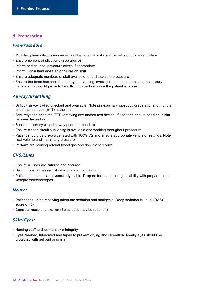### d. Preparation

### *Pre-Procedure*

- Multidisciplinary discussion regarding the potential risks and benefits of prone ventilation
- Ensure no contraindications (See above)
- Inform and counsel patient/relatives if appropriate
- Inform Consultant and Senior Nurse on shift
- Ensure adequate numbers of staff available to facilitate safe procedure
- Ensure the team has considered any outstanding investigations, procedures and necessary transfers that would prove to be difficult to perform once the patient is prone

### *Airway/Breathing*

- Difficult airway trolley checked and available. Note previous laryngoscopy grade and length of the endotracheal tube (ETT) at the lips
- Securely tape or tie the ETT, removing any anchor fast device. If tied then ensure padding in situ between tie and skin
- Suction oropharynx and airway prior to procedure
- Ensure closed circuit suctioning is available and working throughout procedure
- Patient should be pre-oxygenated with 100% O2 and ensure appropriate ventilator settings. Note tidal volume and inspiratory pressure
- Perform pre-proning arterial blood gas and document results

### *CVS/Lines*

- Ensure all lines are sutured and secured
- Discontinue non-essential infusions and monitoring
- Patient should be cardiovascularly stable. Prepare for post-proning instability with preparation of vasopressors/inotropes

#### *Neuro:*

- Patient should be receiving adequate sedation and analgesia. Deep sedation is usual (RASS score of -5)
- Consider muscle relaxation (Bolus dose may be required)

### *Skin/Eyes:*

- Nursing staff to document skin integrity
- Eyes cleaned, lubricated and taped to prevent drying and ulceration. Ideally eyes should be protected with gel pad or similar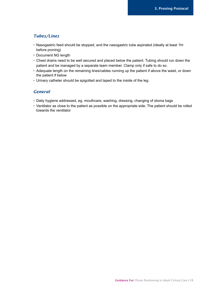### *Tubes/Lines*

- Nasogastric feed should be stopped, and the nasogastric tube aspirated (ideally at least 1hr before proning)
- Document NG length
- Chest drains need to be well secured and placed below the patient. Tubing should run down the patient and be managed by a separate team member. Clamp only if safe to do so.
- Adequate length on the remaining lines/cables running up the patient if above the waist, or down the patient if below
- Urinary catheter should be spigotted and taped to the inside of the leg

### *General*

- Daily hygiene addressed, eg. mouthcare, washing, dressing, changing of stoma bags
- Ventilator as close to the patient as possible on the appropriate side. The patient should be rolled towards the ventilator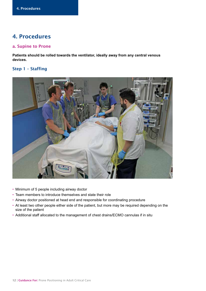### 4. Procedures

### a. Supine to Prone

**Patients should be rolled towards the ventilator, ideally away from any central venous devices.**

### Step 1 – Staffing



- Minimum of 5 people including airway doctor
- Team members to introduce themselves and state their role
- Airway doctor positioned at head end and responsible for coordinating procedure
- At least two other people either side of the patient, but more may be required depending on the size of the patient
- Additional staff allocated to the management of chest drains/ECMO cannulas if in situ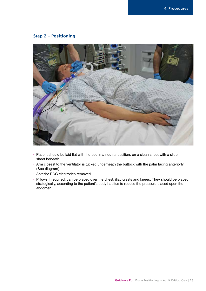### Step 2 – Positioning



- Patient should be laid flat with the bed in a neutral position, on a clean sheet with a slide sheet beneath
- Arm closest to the ventilator is tucked underneath the buttock with the palm facing anteriorly (See diagram)
- Anterior ECG electrodes removed
- Pillows if required, can be placed over the chest, iliac crests and knees. They should be placed strategically, according to the patient's body habitus to reduce the pressure placed upon the abdomen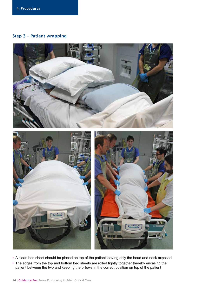### Step 3 – Patient wrapping



• A clean bed sheet should be placed on top of the patient leaving only the head and neck exposed • The edges from the top and bottom bed sheets are rolled tightly together thereby encasing the patient between the two and keeping the pillows in the correct position on top of the patient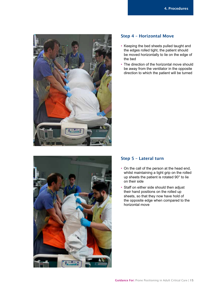![](_page_14_Picture_1.jpeg)

![](_page_14_Picture_2.jpeg)

- Keeping the bed sheets pulled taught and the edges rolled tight, the patient should be moved horizontally to lie on the edge of the bed
- The direction of the horizontal move should be away from the ventilator in the opposite direction to which the patient will be turned

![](_page_14_Picture_5.jpeg)

### Step 5 – Lateral turn

- On the call of the person at the head end, whilst maintaining a tight grip on the rolled up sheets the patient is rotated 90° to lie on their side
- Staff on either side should then adjust their hand positions on the rolled up sheets, so that they now have hold of the opposite edge when compared to the horizontal move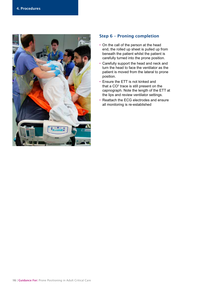![](_page_15_Picture_1.jpeg)

### Step 6 – Proning completion

- On the call of the person at the head end, the rolled up sheet is pulled up from beneath the patient whilst the patient is carefully turned into the prone position.
- Carefully support the head and neck and turn the head to face the ventilator as the patient is moved from the lateral to prone position.
- Ensure the ETT is not kinked and that a  $CO<sup>2</sup>$  trace is still present on the capnograph. Note the length of the ETT at the lips and review ventilator settings.
- Reattach the ECG electrodes and ensure all monitoring is re-established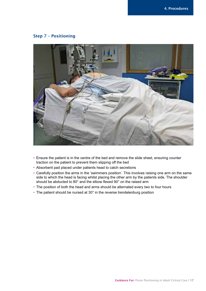### Step 7 – Positioning

![](_page_16_Picture_2.jpeg)

- Ensure the patient is in the centre of the bed and remove the slide sheet, ensuring counter traction on the patient to prevent them slipping off the bed
- Absorbent pad placed under patients head to catch secretions
- Carefully position the arms in the 'swimmers position'. This involves raising one arm on the same side to which the head is facing whilst placing the other arm by the patients side. The shoulder should be abducted to 80° and the elbow flexed 90° on the raised arm
- The position of both the head and arms should be alternated every two to four hours
- The patient should be nursed at 30° in the reverse trendelenburg position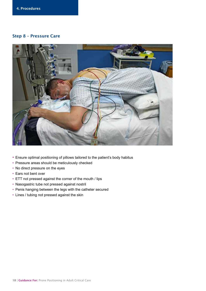### Step 8 – Pressure Care

![](_page_17_Picture_2.jpeg)

- Ensure optimal positioning of pillows tailored to the patient's body habitus
- Pressure areas should be meticulously checked
- No direct pressure on the eyes
- Ears not bent over
- ETT not pressed against the corner of the mouth / lips
- Nasogastric tube not pressed against nostril
- Penis hanging between the legs with the catheter secured
- Lines / tubing not pressed against the skin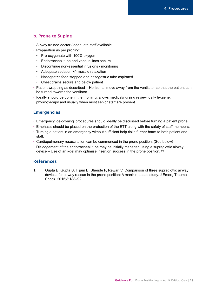### b. Prone to Supine

- Airway trained doctor / adequate staff available
- Preparation as per proning;
	- Pre-oxygenate with 100% oxygen
	- Endotracheal tube and venous lines secure
	- Discontinue non-essential infusions / monitoring
	- Adequate sedation +/- muscle relaxation
	- Nasogastric feed stopped and nasogastric tube aspirated
	- Chest drains secure and below patient
- Patient wrapping as described Horizontal move away from the ventilator so that the patient can be turned towards the ventilator.
- Ideally should be done in the morning; allows medical/nursing review, daily hygiene, physiotherapy and usually when most senior staff are present.

### **Emergencies**

- Emergency 'de-proning' procedures should ideally be discussed before turning a patient prone.
- Emphasis should be placed on the protection of the ETT along with the safety of staff members.
- Turning a patient in an emergency without sufficient help risks further harm to both patient and staff.
- Cardiopulmonary resuscitation can be commenced in the prone position. (See below)
- Dislodgement of the endotracheal tube may be initially managed using a supraglottic airway device – Use of an i-gel may optimise insertion success in the prone position. (1)

#### References

1. Gupta B, Gupta S, Hijam B, Shende P, Rewari V. Comparison of three supraglottic airway devices for airway rescue in the prone position: A manikin-based study. J Emerg Trauma Shock. 2015;8:188–92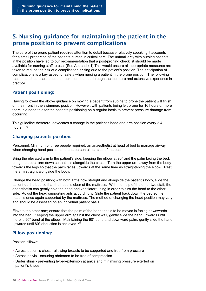# 5. Nursing guidance for maintaining the patient in the prone position to prevent complications

The care of the prone patient requires attention to detail because relatively speaking it accounts for a small proportion of the patients nursed in critical care. The unfamiliarity with nursing patients in the position have led to our recommendation that a post-proning checklist should be made available for nursing staff to use. (See Appendix 1) This would ensure all appropriate measures are taken to reduce the risk of a complication arising due to the patient's position. The anticipation of complications is a key aspect of safety when nursing a patient in the prone position. The following recommendations are based on common themes through the literature and extensive experience in practice.

### Patient positioning:

Having followed the above guidance on moving a patient from supine to prone the patient will finish on their front in the swimmers position. However, with patients being left prone for 16 hours or more there is a need to alter the patients positioning on a regular basis to prevent pressure damage from occurring.

This guideline therefore, advocates a change in the patient's head and arm position every 2-4 hours.  $(3,5)$ 

### Changing patients position:

Personnel: Minimum of three people required: an anaesthetist at head of bed to manage airway when changing head position and one person either side of the bed.

Bring the elevated arm to the patient's side; keeping the elbow at 90° and the palm facing the bed, bring the upper arm down so that it is alongside the chest. Turn the upper arm away from the body towards the legs so that the palm faces upwards at the same time as straightening the elbow. Rest the arm straight alongside the body.

Change the head position; with both arms now straight and alongside the patient's body, slide the patient up the bed so that the head is clear of the mattress. With the help of the other two staff, the anaesthetist can gently hold the head and ventilator tubing in order to turn the head to the other side. Adjust the head supporting aids accordingly. Slide the patient back down the bed so the head, is once again supported by the mattress. The method of changing the head position may vary and should be assessed on an individual patient basis.

Elevate the other arm; ensure that the palm of the hand that is to be moved is facing downwards into the bed. Keeping the upper arm against the chest wall, gently slide the hand upwards until there is 90° bend at the elbow. Maintaining the 90° bend and downward palm, gently slide the hand upwards until 80° abduction is achieved. (1)

### Pillow positioning:

Position pillows:

- Across patient's chest allowing breasts to be supported and free from pressure
- Across pelvis ensuring abdomen to be free of compression
- Under shins preventing hyper-extension at ankle and minimising pressure exerted on patient's knees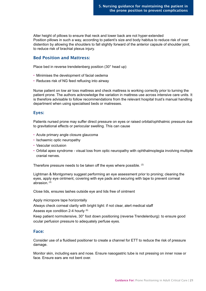Alter height of pillows to ensure that neck and lower back are not hyper-extended Position pillows in such a way, according to patient's size and body habitus to reduce risk of over distention by allowing the shoulders to fall slightly forward of the anterior capsule of shoulder joint, to reduce risk of brachial plexus injury.

### Bed Position and Mattress:

Place bed in reverse trendelenberg position (30° head up)

- Minimises the development of facial oedema
- Reduces risk of NG feed refluxing into airway

Nurse patient on low air loss mattress and check mattress is working correctly prior to turning the patient prone. The authors acknowledge the variation in mattress use across intensive care units. It is therefore advisable to follow recommendations from the relevant hospital trust's manual handling department when using specialised beds or matresses.

### Eyes:

Patients nursed prone may suffer direct pressure on eyes or raised orbital/ophthalmic pressure due to gravitational effects or periocular swelling. This can cause

- Acute primary angle closure glaucoma
- Ischaemic optic neuropathy
- Vascular occlusion
- Orbital apex syndrome visual loss from optic neuropathy with ophthalmoplegia involving multiple cranial nerves.

Therefore pressure needs to be taken off the eyes where possible. (2)

Lightman & Montgomery suggest performing an eye assessment prior to proning; cleaning the eyes, apply eye ointment, covering with eye pads and securing with tape to prevent corneal abrasion. (4)

Close lids, ensures lashes outside eye and lids free of ointment

Apply micropore tape horizontally

Always check corneal clarity with bright light: if not clear, alert medical staff Assess eye condition 2-4 hourly (6)

Keep patient normotensive, 30° foot down positioning (reverse Trendelenburg): to ensure good ocular perfusion pressure to adequately perfuse eyes.

#### Face:

Consider use of a fluidised positioner to create a channel for ETT to reduce the risk of pressure damage.

Monitor skin, including ears and nose. Ensure nasogastric tube is not pressing on inner nose or face. Ensure ears are not bent over.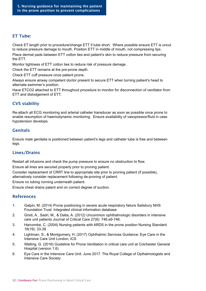### ET Tube:

Check ET length prior to procedure/change ETT if tube short. Where possible ensure ETT is uncut to reduce pressure damage to mouth. Position ETT in middle of mouth, not compressing lips.

Place dermal pads between ETT cotton ties and patient's skin to reduce pressure from securing the ETT.

Monitor tightness of ETT cotton ties to reduce risk of pressure damage .

Check the ETT remains at the pre-prone depth.

Check ETT cuff pressure once patient prone.

Always ensure airway competent doctor present to secure ETT when turning patient's head to alternate swimmer's position.

Have ETCO2 attached to ETT throughout procedure to monitor for disconnection of ventilator from ETT and dislodgement of ETT.

### CVS stability

Re-attach all ECG monitoring and arterial catheter transducer as soon as possible once prone to enable resumption of haemodynamic monitoring. Ensure availability of vasopressor/fluid in case hypotension develops.

### Genitals

Ensure male genitalia is positioned between patient's legs and catheter tube is free and between legs.

### Lines/Drains

Restart all infusions and check the pump pressure to ensure no obstruction to flow.

Ensure all lines are secured properly prior to proning patient.

Consider replacement of CRRT line to appropriate site prior to proning patient (if possible), alternatively consider replacement following de-proning of patient.

Ensure no tubing running underneath patient.

Ensure chest drains patent and on correct degree of suction.

### References

- 1. Galpin, M. (2014) Prone positioning in severe acute respiratory failure Salisbury NHS Foundation Trust: Integrated clinical information database
- 2. Grixti, A., Sadri, M., & Datta, A. (2012) Uncommon ophthalmologic disorders in intensive care unit patients Journal of Critical Care 27(6): 746.e9-746.
- 3. Harcombe, C. (2004) Nursing patients with ARDS in the prone position Nursing Standard 18(19): 33-39
- 4. Lightman, S., & Montgomery, H. (2017) Ophthalmic Services Guidance: Eye Care in the Intensive Care Unit London, ICS
- 5. Watling, G. (2016) Guideline for Prone Ventilation in critical care unit at Colchester General Hospital (version 1.6)
- 6. Eye Care in the Intensive Care Unit. June 2017. The Royal College of Opthalmologists and Intensive Care Society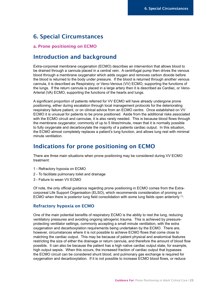### 6. Special Circumstances

#### a. Prone positioning on ECMO

### Introduction and background

Extra-corporeal membrane oxygenation (ECMO) describes an intervention that allows blood to be drained through a cannula placed in a central vein. A centrifugal pump then drives the venous blood through a membrane oxygenator which adds oxygen and removes carbon dioxide before the blood is returned to the body under pressure. If the blood is returned through another venous cannula, it is described as Respiratory, or Veno-Venous (VV) ECMO, supporting the functions of the lungs. If the return cannula is placed in a large artery then it is described as Cardiac, or Veno-Arterial (VA) ECMO, supporting the functions of the hearts and lungs.

A significant proportion of patients referred for VV ECMO will have already undergone prone positioning, either during escalation through local management protocols for the deteriorating respiratory failure patient, or on clinical advice from an ECMO centre. Once established on VV ECMO it is unusual for patients to be prone positioned. Aside from the additional risks associated with the ECMO circuit and cannulae, it is also rarely needed. This is because blood flows through the membrane oxygenator, commonly of up to 5 litres/minute, mean that it is normally possible to fully oxygenate and decarboxylate the majority of a patients cardiac output. In this situation, the ECMO almost completely replaces a patient's lung function, and allows lung rest with minimal minute ventilation.

### Indications for prone positioning on ECMO

There are three main situations when prone positioning may be considered during VV ECMO treatment:

- 1 Refractory hypoxia on ECMO
- 2 To facilitate pulmonary toilet and drainage
- 3 Failure to wean VV ECMO

Of note, the only official guidance regarding prone positioning in ECMO comes from the Extracorporeal Life Support Organisation (ELSO), which recommends consideration of proning on ECMO when there is posterior lung field consolidation with some lung fields open anteriorly (1).

#### Refractory hypoxia on ECMO

One of the main potential benefits of respiratory ECMO is the ability to rest the lung, reducing ventilatory pressures and avoiding ongoing iatrogenic trauma. This is achieved by pressureprotecting ventilator settings, commonly accepting a small minute ventilation, with the extra oxygenation and decarboxylation requirements being undertaken by the ECMO. There are, however, circumstances where it is not possible to achieve ECMO flows that come close to matching the cardiac output. This may be because of patient physical and anatomical features restricting the size of either the drainage or return cannula, and therefore the amount of blood flow possible. It can also be because the patient has a high native cardiac output state, for example, high output sepsis. When this occurs, the increased fraction of cardiac output that bypasses the ECMO circuit can be considered shunt blood, and pulmonary gas exchange is required for oxygenation and decarboxylation. If it is not possible to increase ECMO blood flows, or reduce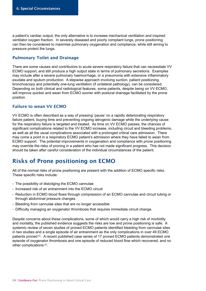a patient's cardiac output, the only alternative is to increase mechanical ventilation and inspired ventilator oxygen fraction. In severely diseased and poorly compliant lungs, prone positioning can then be considered to maximise pulmonary oxygenation and compliance, while still aiming to pressure protect the lungs.

### Pulmonary Toilet and Drainage

There are some causes and contributors to acute severe respiratory failure that can necessitate VV ECMO support, and still produce a high output state in terms of pulmonary secretions. Examples may include after a severe pulmonary haemorrhage, or a pneumonia with extensive inflammatory exudate and sputum production. A stepwise approach involving suction, patient positioning, bronchoscopy and potentially one-lung ventilation (if unilateral pathology), can be considered. Depending on both clinical and radiological features, some patients, despite being on VV ECMO, will improve quicker and wean from ECMO sooner with postural drainage facilitated by the prone position.

### Failure to wean VV ECMO

VV ECMO is often described as a way of pressing 'pause' on a rapidly deteriorating respiratory failure patient, buying time and preventing ongoing iatrogenic damage while the underlying cause for the respiratory failure is targeted and treated. As time on VV ECMO passes, the chances of significant complications related to the VV ECMO increase, including circuit and bleeding problems, as well as all the usual complications associated with a prolonged critical care admission. There may come a point in a respiratory ECMO patient's admission where they have failed to wean from ECMO support. The potential improvements in oxygenation and compliance with prone positioning may override the risks of proning in a patient who has not made significant progress. This decision should be taken after careful consideration of the individual circumstances of the patient.

# Risks of Prone positioning on ECMO

All of the normal risks of prone positioning are present with the addition of ECMO specific risks. These specific risks include:

- The possibility of dislodging the ECMO cannulae
- Increased risk of air entrainment into the ECMO circuit
- Reduction in ECMO blood flows through compression of an ECMO cannulae and circuit tubing or through abdominal pressure changes
- Bleeding from cannulae sites that are no longer accessible
- Difficulty managing an oxygenator thrombosis that requires immediate circuit change.

Despite concerns about these complications, some of which would carry a high risk of morbidity and mortality, the published evidence suggests the risks are low and prone positioning is safe. A systemic review of seven studies of proned ECMO patients identified bleeding from cannulae sites in two studies and a single episode of air entrainment as the only complications in over 49 ECMO patients proned (2). A recent published case series of 17 proned ECMO patients demonstrated one episode of oxygenator thrombosis and one episode of reduced blood flow which recovered, and no other complications (3).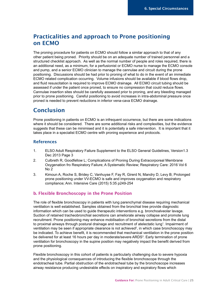## Practicalities and approach to Prone positioning on ECMO

The proning procedure for patients on ECMO should follow a similar approach to that of any other patient being proned. Priority should be on an adequate number of trained personnel and a structured checklist approach. As well as the normal number of people and roles required, there is an additional need, as a minimum, for a perfusionist or ECMO nurse to manage the ECMO console and pump, and a senior ECMO clinician to manage the cannulae and circuit during the prone positioning. Discussions should be had prior to proning of what to do in the event of an immediate ECMO related complication occurring. Volume infusions should be available if blood flows drop, and fluid resuscitation is required to improve ECMO drainage. All ECMO circuit tubing should be assessed if under the patient once proned, to ensure no compression that could reduce flows. Cannulae insertion sites should be carefully assessed prior to proning, and any bleeding managed prior to prone positioning. Careful positioning to avoid increases in intra-abdominal pressure once proned is needed to prevent reductions in inferior vena-cava ECMO drainage.

### Conclusion

Prone positioning in patients on ECMO is an infrequent occurrence, but there are some indications where it should be considered. There are some additional risks and complexities, but the evidence suggests that these can be minimised and it is potentially a safe intervention. It is important that it takes place in a specialist ECMO centre with proning experience and protocols.

### References

- 1. ELSO Adult Respiratory Failure Supplement to the ELSO General Guidelines, Version1.3 Dec 2013 Page 3
- 2. Culbreth R, Goodfellow L; Complications of Proning During Extracorporeal Membrane Oxygenation fro Respiratory Failure; A Systematic Review; Respiratory Care: 2016 Vol 6 No 2
- 3. Kimoun A, Roche S, Bridey C, Vanhuyse F, Fay R, Girerd N, Mandry D, Levy B; Prolonged prone positioning under VV-ECMO is safe and improves oxygenation and respiratory compliance; Ann. Intensive Care (2015) 5:35 p249-254

### b. Flexible Bronchoscopy in the Prone Position

The role of flexible bronchoscopy in patients with lung parenchymal disease requiring mechanical ventilation is well established. Samples obtained from the bronchial tree provide diagnostic information which can be used to guide therapeutic interventions e.g. bronchoalveolar lavage. Suction of retained tracheobronchial secretions can ameliorate airway collapse and promote lung recruitment. Prone positioning may enhance mobilisation of bronchial secretions from the distal to proximal airways through postural drainage and recruitment of atelectatic lung1 . Impairment of ventilation may be seen if appropriate clearance is not achieved<sup>2</sup>, in which case bronchoscopy may be indicated. To achieve benefit, it is recommended that mechanical ventilation in the prone position be delivered for at least 16 hours per day in moderate/severe ARDS<sup>3</sup>. Early termination of prone ventilation for bronchoscopy in the supine position may negatively impact the benefit derived from prone positioning.

Flexible bronchoscopy in this cohort of patients is particularly challenging due to severe hypoxia and the physiological consequences of introducing the flexible bronchoscope through the endotracheal tube. Partial obstruction of the endotracheal tube by the bronchoscope increases airway resistance producing undesirable effects on inspiratory and expiratory flows which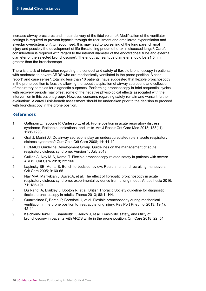increase airway pressures and impair delivery of the tidal volume<sup>4</sup>. Modification of the ventilator settings is required to prevent hypoxia through de-recruitment and ameliorate hyperinflation and alveolar overdistension<sup>5</sup>. Unrecognised, this may lead to worsening of the lung parenchymal injury and possibly the development of life-threatening pneumothorax in diseased lungs<sup>6</sup>. Careful consideration is required with regard to the internal diameter of the endotracheal tube and external diameter of the selected bronchoscope<sup>7</sup>. The endotracheal tube diameter should be  $\geq 1.5$ mm greater than the bronchoscope.

There is a lack of information regarding the conduct and safety of flexible bronchoscopy in patients with moderate-to-severe ARDS who are mechanically ventilated in the prone position. A case report<sup>8</sup> and case series<sup>9</sup>, totalling less than 10 patients, have suggested that flexible bronchoscopy in the prone position is feasible allowing therapeutic aspiration of airway secretions and collection of respiratory samples for diagnostic purposes. Performing bronchoscopy in brief sequential cycles with recovery periods may offset some of the negative physiological effects associated with the intervention in this patient group<sup>9</sup>. However, concerns regarding safety remain and warrant further evaluation4 . A careful risk-benefit assessment should be undertaken prior to the decision to proceed with bronchoscopy in the prone position.

### References

- 1. Gattinoni L, Taccone P, Carlesso E, et al. Prone position in acute respiratory distress syndrome. Rationale, indications, and limits. Am J Respir Crit Care Med 2013; 188(11): 1286-1293.
- 2. Graf J, Marini JJ. Do airway secretions play an underappreciated role in acute respiratory distress syndrome? Curr Opin Crit Care 2008; 14: 44-49
- 3. FICM/ICS Guideline Development Group. Guidelines on the management of acute respiratory distress syndrome. Version 1, July 2018.
- 4. Guillon A, Nay M-A, Kamel T. Flexible bronchoscopy-related safety in patients with severe ARDS. Crit Care 2018; 22: 166.
- 5. Lapinsky SE, Mehta S. Bench-to-bedside review: Recruitment and recruiting maneuvers. Crit Care 2005; 9: 60-65.
- 6. Nay M-A, Mankikian J, Auvet A, et al. The effect of fibreoptic bronchoscopy in acute respiratory distress syndrome: experimental evidence from a lung model. Anaesthesia 2016; 71: 185-191.
- 7. Du Rand IA, Blaikley J, Booton R, et al. British Thoracic Society guideline for diagnostic flexible bronchoscopy in adults. Thorax 2013; 68: i1-i44.
- 8. Guarracinoa F, Bertini P, Bortolotti U, et al. Flexible bronchoscopy during mechanical ventilation in the prone position to treat acute lung injury. Rev Port Pneumol 2013; 19(1): 42-44.
- 9. Kalchiem-Dekel O , Shanholtz C, Jeudy J, et al. Feasibility, safety, and utility of bronchoscopy in patients with ARDS while in the prone position. Crit Care 2018; 22: 54.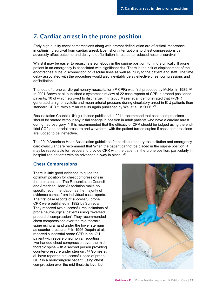# 7. Cardiac arrest in the prone position

Early high quality chest compressions along with prompt defibrillation are of critical importance in optimising survival from cardiac arrest. Even short interruptions to chest compressions can adversely affect outcome and delay to defibrillation is related to reduced hospital survival. (1)

Whilst it may be easier to resuscitate somebody in the supine position, turning a critically ill prone patient in an emergency is associated with significant risk. There is the risk of displacement of the endotracheal tube, disconnection of vascular lines as well as injury to the patient and staff. The time delay associated with the procedure would also inevitably delay effective chest compressions and defibrillation.

The idea of prone cardio-pulmonary resuscitation (P-CPR) was first proposed by McNeil in 1989. (2) In 2001 Brown et al. published a systematic review of 22 case reports of CPR in proned positioned patients, 10 of which survived to discharge. (3) In 2003 Mazer et al. demonstrated that P-CPR generated a higher systolic and mean arterial pressure during circulatory arrest in ICU patients than standard CPR $(4)$ , with similar results again published by Wei at al. in 2006.  $(5)$ 

Resuscitation Council (UK) guidelines published in 2014 recommend that chest compressions should be started without any initial change in position in adult patients who have a cardiac arrest during neurosurgery. <sup>(6)</sup> It is recommended that the efficacy of CPR should be judged using the endtidal CO2 and arterial pressure and waveform, with the patient turned supine if chest compressions are judged to be ineffective.

The 2010 American Heart Association guidelines for cardiopulmonary resuscitation and emergency cardiovascular care recommend that 'when the patient cannot be placed in the supine position, it may be reasonable for rescuers to provide CPR with the patient in the prone position, particularly in hospitalized patients with an advanced airway in place'. (7)

### Chest Compressions

There is little good evidence to guide the optimum position for chest compressions in the prone patient. The Resuscitation Council and American Heart Association make no specific recommendation as the majority of evidence comes from individual case reports. The first case reports of successful prone CPR were published in 1992 by Sun et al. They reported two successful resuscitations of prone neurosurgical patients using 'reversed precordial compression'. They recommended chest compressions over the mid-thoracic spine using a hand under the lower sternum as counter-pressure. (8) In 1996 Dequin et al. reported successful prone CPR in an ICU patient with severe pneumonia, reporting two-handed chest compression over the midthoracic spine with a second person providing counter-pressure under sternum. (9) Gomes et al. have reported a successful case of prone CPR in a neurosurgical patient, using chest compression over the mid-thoracic level but

![](_page_26_Picture_9.jpeg)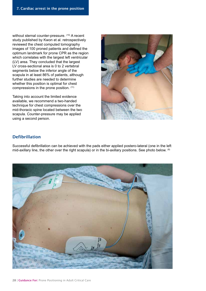without sternal counter-pressure. (10) A recent study published by Kwon et al. retrospectively reviewed the chest computed tomography images of 100 proned patients and defined the optimum landmark for prone CPR as the region which correlates with the largest left ventricular (LV) area. They concluded that the largest LV cross-sectional area is 0 to 2 vertebral segments below the inferior angle of the scapula in at least 86% of patients, although further studies are needed to determine whether this position is optimal for chest compressions in the prone position. (11)

Taking into account the limited evidence available, we recommend a two-handed technique for chest compressions over the mid-thoracic spine located between the two scapula. Counter-pressure may be applied using a second person.

![](_page_27_Picture_3.jpeg)

### Defibrillation

Successful defibrillation can be achieved with the pads either applied postero-lateral (one in the left mid-axillary line, the other over the right scapula) or in the bi-axillary positions. See photo below. (6)

![](_page_27_Picture_6.jpeg)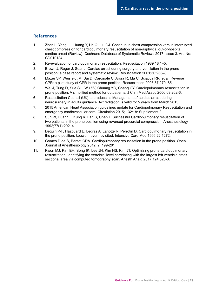#### References

- 1. Zhan L, Yang LJ, Huang Y, He Q, Liu GJ. Continuous chest compression versus interrupted chest compression for cardiopulmonary resuscitation of non-asphyxial out-of-hospital cardiac arrest (Review) Cochrane Database of Systematic Reviews 2017, Issue 3. Art. No: CD010134
- 2. Re-evaluation of cardiopulmonary resuscitation. Resuscitation 1989;18:1–5.
- 3. Brown J, Roger J, Soar J. Cardiac arrest during surgery and ventilation in the prone position: a case report and systematic review. Resuscitation 2001;50:233–8.
- 4. Mazer SP, Weisfeldt M, Bai D, Cardinale C, Arora R, Ma C, Sciacca RR, et al. Reverse CPR: a pilot study of CPR in the prone position. Resuscitation 2003;57:279–85.
- 5. Wei J, Tung D, Sue SH, Wu SV, Chuang YC, Chang CY. Cardiopulmonary resuscitation in prone position: A simplified method for outpatients. J Chin Med Assoc 2006;69:202-6.
- 6. Resuscitation Council (UK) to produce its Management of cardiac arrest during neurosurgery in adults guidance. Accreditation is valid for 5 years from March 2015.
- 7. 2015 American Heart Association guidelines update for Cardiopulmonary Resuscitation and emergency cardiovascular care. Circulation 2015; 132:18: Supplement 2.
- 8. Sun W, Huang F, Kung K, Fan S, Chen T. Successful Cardiopulmonary resuscitation of two patients in the prone position using reversed precordial compression. Anesthesiology 1992;77(1):202–4.
- 9. Dequin P-F, Hazouard E, Legras A, Lanotte R, Perrotin D. Cardiopulmonary resuscitation in the prone position: kouwenhoven revisited. Intensive Care Med 1996;22:1272.
- 10. Gomes D de S, Bersot CDA. Cardiopulmonary resuscitation in the prone position. Open Journal of Anesthesiology 2012; 2: 199-201
- 11. Kwon MJ, Kim EH, Song IK, Lee JH, Kim HS, Kim JT. Optimizing prone cardiopulmonary resuscitation: Identifying the vertebral level correlating with the largest left ventricle crosssectional area via computed tomography scan. Anesth Analg 2017;124:520-3.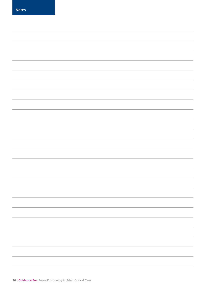Notes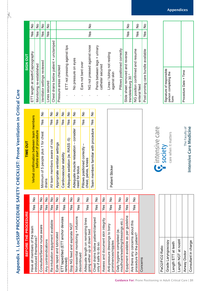| l<br>Ĺ<br>֚֝֟֝֬<br>֧֪֚֚֚֚֝֝֝֝֝<br>֪֝֝ <i>֟</i><br>֖ׅ֧֧֧֧ׅ֧ׅ֧֧ׅ֧ׅ֧֚֚֚֚֚֚֚֚֚֚֚֚֚֚֚֚֚֚֚֚֚֚֚֚֚֚֬֡֡֡֡֓֡֝֬֝֓֝֬֜֜֓֜֜֜֝<br><b>NH INTERNATIONAL</b><br>l<br>I<br>papa |  |
|--------------------------------------------------------------------------------------------------------------------------------------------------------------|--|
|                                                                                                                                                              |  |
|                                                                                                                                                              |  |
|                                                                                                                                                              |  |
|                                                                                                                                                              |  |
|                                                                                                                                                              |  |
|                                                                                                                                                              |  |
|                                                                                                                                                              |  |
|                                                                                                                                                              |  |
|                                                                                                                                                              |  |
|                                                                                                                                                              |  |
|                                                                                                                                                              |  |
|                                                                                                                                                              |  |
|                                                                                                                                                              |  |
|                                                                                                                                                              |  |
|                                                                                                                                                              |  |
|                                                                                                                                                              |  |

 $-\frac{2}{2}$ 

|                                                                    | BEFORE THE PROCEDURE                                              |     |               | TIME OUT                                                               |                                                           | <b>SIGN OUT</b> |     |               |
|--------------------------------------------------------------------|-------------------------------------------------------------------|-----|---------------|------------------------------------------------------------------------|-----------------------------------------------------------|-----------------|-----|---------------|
|                                                                    | Have all members of the team                                      | Yes | $\frac{1}{2}$ | Verbal confirmation between team members                               | ETT length at teeth/Capnography                           |                 | Yes | $\frac{1}{2}$ |
|                                                                    | introduced themselves?                                            |     |               | before start of procedure                                              | Monitoring re-established                                 |                 | Yes | $\frac{1}{2}$ |
|                                                                    | Consultant/Senior nurse aware                                     | Yes | $\frac{1}{2}$ | ş<br>Yes<br>Minimum of 5 people plus 1 for chest                       | Ventilator settings reviewed                              |                 | Yes | ş             |
|                                                                    | Any contraindications                                             | Yes | $\frac{1}{2}$ | drains                                                                 | Lines secured                                             |                 | Yes | ş             |
|                                                                    | Re-intubation equipment available                                 | Yes | $\frac{1}{2}$ | ş<br>Yes<br>All team members aware of role                             | Chest drains below patient + unclamped                    |                 |     |               |
|                                                                    | Eyes taped and lubricated                                         | Yes | $\frac{1}{2}$ | $\frac{1}{2}$<br>Yes<br>Appropriate ventilator settings                | Pressure areas checked                                    |                 |     |               |
|                                                                    | ETT taped/tied (ETT anchor devices                                | Yes | $\frac{1}{2}$ | ş<br>Yes<br>Cardiovascular stability                                   |                                                           |                 |     |               |
|                                                                    | removed)                                                          |     |               | $\frac{1}{2}$<br>Yes<br>Adequate sedation (ie. RASS-5)                 | ETT not pressing against lips                             |                 |     |               |
|                                                                    | Stop NG feed and aspirate NGT                                     | Yes | $\frac{1}{2}$ |                                                                        |                                                           |                 |     |               |
|                                                                    | Non-essential monitoring + infusions<br>discontinued              | Yes | ş             | ş<br>Yes<br>Adequate muscle relaxation - consider<br>for bolus<br>need | No pressure on eyes                                       |                 |     |               |
|                                                                    | Adequate length on remaining lines<br>going either up or down bed | Yes | $\frac{1}{2}$ | ş<br>Yes<br>Pillows positioned correctly<br>chest, pelvis, knees       | NG not pressed against nose<br>Ears not bent over         |                 | Yes | $\frac{1}{2}$ |
|                                                                    | Chest drains below patient/clamped                                |     |               | $\frac{1}{2}$<br>Yes<br>members familiar with procedure<br>Team        |                                                           |                 |     |               |
|                                                                    | only if safe to do so.                                            | Yes | $\frac{1}{2}$ |                                                                        | Penis between legs + urinary                              |                 |     |               |
|                                                                    | Assess and document skin integrity                                | Yes | $\frac{1}{2}$ |                                                                        | catheter secured                                          |                 |     |               |
|                                                                    | Anti-pressure dressings to bony<br>prominences/nipples            | Yes | $\frac{1}{2}$ | Patient Sticker                                                        | Lines / tubing not resting<br>against skin                |                 |     |               |
| <b>Guidance For: Prone Positioning in Adult Critical Care   31</b> | mouthcare/washing/dressings etc.)<br>Daily hygiene completed (ie. | Yes | $\frac{1}{2}$ |                                                                        | Pillows positioned correctly                              |                 |     |               |
|                                                                    | Equipment available as per guideline                              | Yes | $\frac{1}{2}$ |                                                                        | Slide sheet removed and reverse                           |                 | Yes | $\frac{1}{2}$ |
|                                                                    | Are there any concerns about this                                 | Yes | $\frac{1}{2}$ |                                                                        | NG position confirmed and resume<br>trendelenburg 30°     |                 |     |               |
|                                                                    | procedure for the patient?                                        |     |               |                                                                        | enteral feed                                              |                 | Yes | ş             |
|                                                                    | Concerns                                                          |     |               |                                                                        | Post-proning care bundle available                        |                 | Yes | ş             |
|                                                                    |                                                                   |     |               |                                                                        |                                                           |                 |     |               |
|                                                                    |                                                                   |     |               |                                                                        |                                                           |                 |     |               |
|                                                                    | PaO2/FiO2 Ratio                                                   |     |               | <b>C</b> intensive care                                                |                                                           |                 |     |               |
|                                                                    | Grade Laryngoscopy                                                |     |               | care when it matters                                                   | Signature of responsible<br>person completing the<br>form |                 |     |               |
|                                                                    | Length ETT at teeth                                               |     |               |                                                                        |                                                           |                 |     |               |
|                                                                    | Length NGT at nostril                                             |     |               |                                                                        |                                                           |                 |     |               |
|                                                                    | Airway Doctor                                                     |     |               | The Faculty of                                                         | Procedure Date + Time                                     |                 |     |               |
|                                                                    | Consultant in charge                                              |     |               | Intensive Care Medicine                                                |                                                           |                 |     |               |

| ETT length at teeth/Capnography                                 | Yes | $\frac{1}{2}$              |  |
|-----------------------------------------------------------------|-----|----------------------------|--|
| Monitoring re-established                                       | Yes | $\frac{\circ}{\mathsf{Z}}$ |  |
| Ventilator settings reviewed                                    | Yes | $\frac{1}{2}$              |  |
| Lines secured                                                   | Yes | ş                          |  |
| Chest drains below patient + unclamped                          |     |                            |  |
| Pressure areas checked                                          |     |                            |  |
| ETT not pressing against lips<br>I.                             |     |                            |  |
| No pressure on eyes<br>$\blacksquare$                           |     |                            |  |
| Ears not bent over<br>٠                                         |     |                            |  |
| NG not pressed against nose<br>п                                | Yes | ş                          |  |
| Penis between legs + urinary<br>catheter secured<br>$\mathbf I$ |     |                            |  |
| Lines / tubing not resting<br>against skin<br>I.                |     |                            |  |
| Pillows positioned correctly<br>$\mathbf{I}$                    |     |                            |  |
| Slide sheet removed and reverse<br>trendelenburg 30°            | Yes | ş                          |  |
| NG position confirmed and resume<br>لہ مگر امتحامہ              | Yes | $\frac{\circ}{\mathsf{Z}}$ |  |

| Signature of responsible<br>person completing the<br>form | Procedure Date + Time |
|-----------------------------------------------------------|-----------------------|

 $\overline{Yes}$  No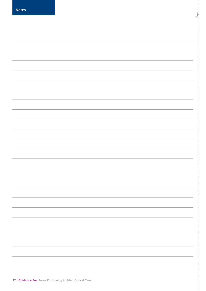| <b>Notes</b> |  |  |
|--------------|--|--|
|              |  |  |
|              |  |  |
|              |  |  |
|              |  |  |
|              |  |  |
|              |  |  |
|              |  |  |
|              |  |  |
|              |  |  |
|              |  |  |
|              |  |  |
|              |  |  |
|              |  |  |
|              |  |  |
|              |  |  |
|              |  |  |
|              |  |  |
|              |  |  |
|              |  |  |
|              |  |  |
|              |  |  |
|              |  |  |
|              |  |  |
|              |  |  |
|              |  |  |

ار<br>پا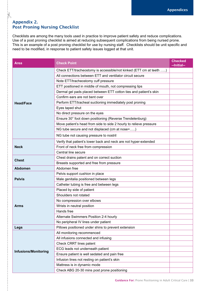### Appendix 2. Post Proning Nursing Checklist

 $\frac{1}{2}$ 

Checklists are among the many tools used in practice to improve patient safety and reduce complications. Use of a post proning checklist is aimed at reducing subsequent complications from being nursed prone. This is an example of a post proning checklist for use by nursing staff. Checklists should be unit specific and need to be modified, in response to patient safety issues logged at that unit.

| Check ETT/tracheostomy is accessible/not kinked (ETT cm at teeth )<br>All connections between ETT and ventilator circuit secure<br>Note ETT/tracheostomy cuff pressure |
|------------------------------------------------------------------------------------------------------------------------------------------------------------------------|
|                                                                                                                                                                        |
|                                                                                                                                                                        |
|                                                                                                                                                                        |
| ETT positioned in middle of mouth, not compressing lips                                                                                                                |
| Dermal gel pads placed between ETT cotton ties and patient's skin                                                                                                      |
| Confirm ears are not bent over                                                                                                                                         |
| Perform ETT/tracheal suctioning immediately post proning<br><b>Head/Face</b>                                                                                           |
| Eyes taped shut                                                                                                                                                        |
| No direct pressure on the eyes                                                                                                                                         |
| Ensure 30° foot down positioning (Reverse Trendelenburg)                                                                                                               |
| Move patient's head from side to side 2 hourly to relieve pressure                                                                                                     |
| NG tube secure and not displaced (cm at nose=)                                                                                                                         |
| NG tube not causing pressure to nostril                                                                                                                                |
| Verify that patient's lower back and neck are not hyper-extended                                                                                                       |
| Front of neck free from compression<br><b>Neck</b>                                                                                                                     |
| Central line secure                                                                                                                                                    |
| Chest drains patent and on correct suction                                                                                                                             |
| <b>Chest</b><br>Breasts supported and free from pressure                                                                                                               |
| Abdomen free<br><b>Abdomen</b>                                                                                                                                         |
| Pelvis support cushion in place                                                                                                                                        |
| Male genitalia positioned between legs<br><b>Pelvis</b>                                                                                                                |
| Catheter tubing is free and between legs                                                                                                                               |
| Placed by side of patient                                                                                                                                              |
| Shoulders not rotated                                                                                                                                                  |
| No compression over elbows                                                                                                                                             |
| Wrists in neutral position<br>Arms                                                                                                                                     |
| Hands free                                                                                                                                                             |
| Alternate Swimmers Position 2-4 hourly                                                                                                                                 |
| No peripheral IV lines under patient                                                                                                                                   |
| Pillows positioned under shins to prevent extension<br>Legs                                                                                                            |
| All monitoring recommenced                                                                                                                                             |
| All infusions connected and infusing                                                                                                                                   |
| Check CRRT lines patent                                                                                                                                                |
| ECG leads not underneath patient                                                                                                                                       |
| <b>Infusions/Monitoring</b><br>Ensure patient is well sedated and pain free                                                                                            |
| Infusion lines not resting on patient's skin                                                                                                                           |
| Mattress is in dynamic mode                                                                                                                                            |
| Check ABG 20-30 mins post prone positioning                                                                                                                            |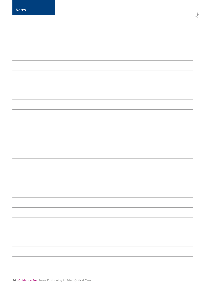| <b>Notes</b> |  |
|--------------|--|
|              |  |
|              |  |
|              |  |
|              |  |
|              |  |
|              |  |
|              |  |
|              |  |
|              |  |
|              |  |
|              |  |
|              |  |
|              |  |
|              |  |
|              |  |
|              |  |
|              |  |
|              |  |
|              |  |
|              |  |
|              |  |
|              |  |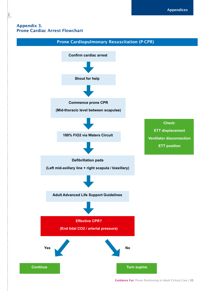### Appendix 3. Prone Cardiac Arrest Flowchart

 $\frac{1}{2}$ 

![](_page_34_Figure_2.jpeg)

Guidance For: Prone Positioning in Adult Critical Care | 35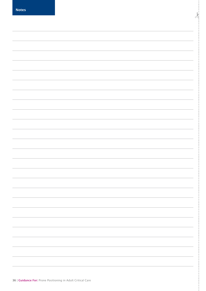| <b>Notes</b> |  |
|--------------|--|
|              |  |
|              |  |
|              |  |
|              |  |
|              |  |
|              |  |
|              |  |
|              |  |
|              |  |
|              |  |
|              |  |
|              |  |
|              |  |
|              |  |
|              |  |
|              |  |
|              |  |
|              |  |
|              |  |
|              |  |
|              |  |
|              |  |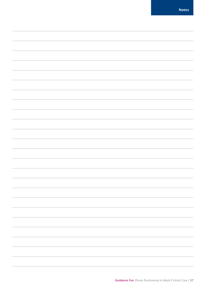| <b>Notes</b> |  |  |
|--------------|--|--|
|              |  |  |
|              |  |  |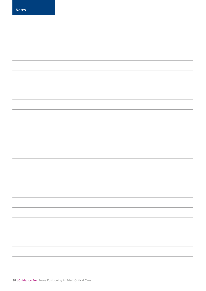Notes